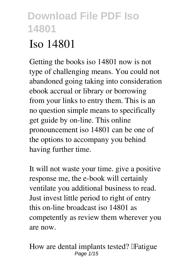# **Iso 14801**

Getting the books **iso 14801** now is not type of challenging means. You could not abandoned going taking into consideration ebook accrual or library or borrowing from your links to entry them. This is an no question simple means to specifically get guide by on-line. This online pronouncement iso 14801 can be one of the options to accompany you behind having further time.

It will not waste your time. give a positive response me, the e-book will certainly ventilate you additional business to read. Just invest little period to right of entry this on-line broadcast **iso 14801** as competently as review them wherever you are now.

*How are dental implants tested? │Fatigue* Page 1/15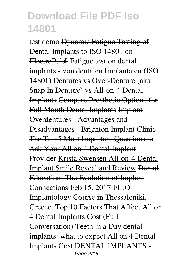*test demo* Dynamic Fatigue Testing of Dental Implants to ISO 14801 on **ElectroPuls**<sup>Ⅱ</sup> Fatigue test on dental implants - von dentalen Implantaten (ISO 14801) Dentures vs Over-Denture (aka Snap In Denture) vs All-on-4 Dental Implants Compare Prosthetic Options for Full Mouth Dental Implants Implant Overdentures - Advantages and Disadvantages - Brighton Implant Clinic The Top 5 Most Important Questions to Ask Your All on 4 Dental Implant Provider Krista Swensen All-on-4 Dental Implant Smile Reveal and Review Dental Education: The Evolution of Implant Connections Feb 15, 2017 *FILO Implantology Course in Thessaloniki, Greece. Top 10 Factors That Affect All on 4 Dental Implants Cost (Full Conversation)* Teeth in a Day dental implants: what to expect *All on 4 Dental Implants Cost* DENTAL IMPLANTS - Page 2/15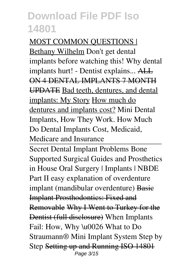MOST COMMON QUESTIONS | Bethany Wilhelm Don't get dental implants before watching this! *Why dental implants hurt! - Dentist explains...* ALL ON 4 DENTAL IMPLANTS 7 MONTH UPDATE Bad teeth, dentures, and dental implants: My Story How much do dentures and implants cost? *Mini Dental Implants, How They Work.* **How Much Do Dental Implants Cost, Medicaid, Medicare and Insurance**

Secret Dental Implant Problems Bone Supported Surgical Guides and Prosthetics in House *Oral Surgery | Implants | NBDE Part II* **easy explanation of overdenture implant (mandibular overdenture)** Basic Implant Prosthodontics: Fixed and Removable Why I Went to Turkey for the Dentist (full disclosure) *When Implants Fail: How, Why \u0026 What to Do Straumann® Mini Implant System Step by Step* Setting up and Running ISO 14801 Page 3/15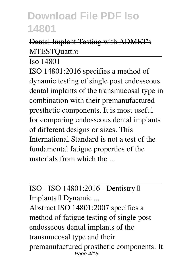#### Dental Implant Testing with ADMET's **MTESTOuattro**

Iso 14801

ISO 14801:2016 specifies a method of dynamic testing of single post endosseous dental implants of the transmucosal type in combination with their premanufactured prosthetic components. It is most useful for comparing endosseous dental implants of different designs or sizes. This International Standard is not a test of the fundamental fatigue properties of the materials from which the ...

#### ISO - ISO 14801:2016 - Dentistry — Implants Dynamic ...

Abstract ISO 14801:2007 specifies a method of fatigue testing of single post endosseous dental implants of the transmucosal type and their premanufactured prosthetic components. It Page 4/15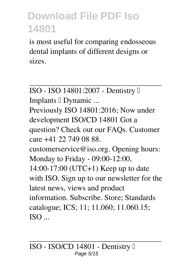is most useful for comparing endosseous dental implants of different designs or sizes.

ISO - ISO 14801:2007 - Dentistry — Implants Dynamic ... Previously ISO 14801:2016; Now under development ISO/CD 14801 Got a question? Check out our FAQs. Customer care +41 22 749 08 88. customerservice@iso.org. Opening hours: Monday to Friday - 09:00-12:00, 14:00-17:00 (UTC+1) Keep up to date with ISO. Sign up to our newsletter for the latest news, views and product information. Subscribe. Store; Standards catalogue; ICS; 11; 11.060; 11.060.15;  $ISO$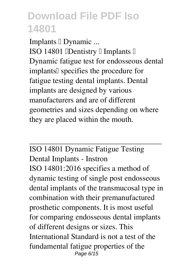Implants  $\mathbb I$  Dynamic ... ISO 14801 *IDentistry I Implants I* Dynamic fatigue test for endosseous dental implants<sup>[]</sup> specifies the procedure for fatigue testing dental implants. Dental implants are designed by various manufacturers and are of different geometries and sizes depending on where they are placed within the mouth.

ISO 14801 Dynamic Fatigue Testing Dental Implants - Instron ISO 14801:2016 specifies a method of dynamic testing of single post endosseous dental implants of the transmucosal type in combination with their premanufactured prosthetic components. It is most useful for comparing endosseous dental implants of different designs or sizes. This International Standard is not a test of the fundamental fatigue properties of the Page 6/15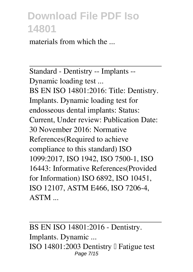materials from which the ...

Standard - Dentistry -- Implants -- Dynamic loading test ... BS EN ISO 14801:2016: Title: Dentistry. Implants. Dynamic loading test for endosseous dental implants: Status: Current, Under review: Publication Date: 30 November 2016: Normative References(Required to achieve compliance to this standard) ISO 1099:2017, ISO 1942, ISO 7500-1, ISO 16443: Informative References(Provided for Information) ISO 6892, ISO 10451, ISO 12107, ASTM E466, ISO 7206-4, ASTM ...

BS EN ISO 14801:2016 - Dentistry. Implants. Dynamic ... ISO 14801:2003 Dentistry  $\Box$  Fatigue test Page 7/15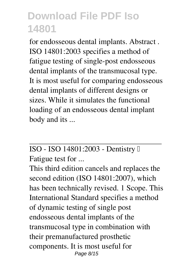for endosseous dental implants. Abstract . ISO 14801:2003 specifies a method of fatigue testing of single-post endosseous dental implants of the transmucosal type. It is most useful for comparing endosseous dental implants of different designs or sizes. While it simulates the functional loading of an endosseous dental implant body and its ...

#### ISO - ISO 14801:2003 - Dentistry — Fatigue test for ...

This third edition cancels and replaces the second edition (ISO 14801:2007), which has been technically revised. 1 Scope. This International Standard specifies a method of dynamic testing of single post endosseous dental implants of the transmucosal type in combination with their premanufactured prosthetic components. It is most useful for Page 8/15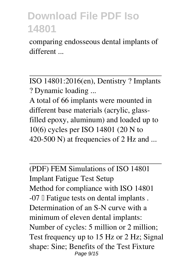comparing endosseous dental implants of different ...

ISO 14801:2016(en), Dentistry ? Implants ? Dynamic loading ...

A total of 66 implants were mounted in different base materials (acrylic, glassfilled epoxy, aluminum) and loaded up to 10(6) cycles per ISO 14801 (20 N to 420-500 N) at frequencies of 2 Hz and ...

(PDF) FEM Simulations of ISO 14801 Implant Fatigue Test Setup Method for compliance with ISO 14801  $-07$  Fatigue tests on dental implants. Determination of an S-N curve with a minimum of eleven dental implants: Number of cycles: 5 million or 2 million; Test frequency up to 15 Hz or 2 Hz; Signal shape: Sine; Benefits of the Test Fixture Page 9/15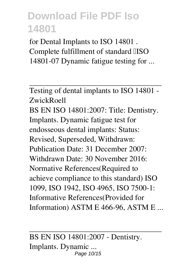for Dental Implants to ISO 14801 . Complete fulfillment of standard IISO 14801-07 Dynamic fatigue testing for ...

Testing of dental implants to ISO 14801 - ZwickRoell BS EN ISO 14801:2007: Title: Dentistry. Implants. Dynamic fatigue test for endosseous dental implants: Status: Revised, Superseded, Withdrawn: Publication Date: 31 December 2007: Withdrawn Date: 30 November 2016: Normative References(Required to achieve compliance to this standard) ISO 1099, ISO 1942, ISO 4965, ISO 7500-1: Informative References(Provided for Information) ASTM E 466-96, ASTM E ...

BS EN ISO 14801:2007 - Dentistry. Implants. Dynamic ... Page 10/15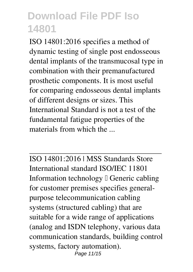ISO 14801:2016 specifies a method of dynamic testing of single post endosseous dental implants of the transmucosal type in combination with their premanufactured prosthetic components. It is most useful for comparing endosseous dental implants of different designs or sizes. This International Standard is not a test of the fundamental fatigue properties of the materials from which the

ISO 14801:2016 | MSS Standards Store International standard ISO/IEC 11801 Information technology  $\mathbb I$  Generic cabling for customer premises specifies generalpurpose telecommunication cabling systems (structured cabling) that are suitable for a wide range of applications (analog and ISDN telephony, various data communication standards, building control systems, factory automation). Page 11/15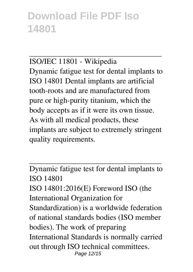ISO/IEC 11801 - Wikipedia Dynamic fatigue test for dental implants to ISO 14801 Dental implants are artificial tooth-roots and are manufactured from pure or high-purity titanium, which the body accepts as if it were its own tissue. As with all medical products, these implants are subject to extremely stringent quality requirements.

Dynamic fatigue test for dental implants to ISO 14801 ISO 14801:2016(E) Foreword ISO (the International Organization for Standardization) is a worldwide federation of national standards bodies (ISO member bodies). The work of preparing International Standards is normally carried out through ISO technical committees. Page 12/15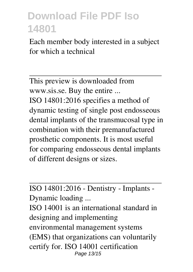Each member body interested in a subject for which a technical

This preview is downloaded from www.sis.se. Buy the entire ... ISO 14801:2016 specifies a method of dynamic testing of single post endosseous dental implants of the transmucosal type in combination with their premanufactured prosthetic components. It is most useful for comparing endosseous dental implants of different designs or sizes.

ISO 14801:2016 - Dentistry - Implants - Dynamic loading ...

ISO 14001 is an international standard in designing and implementing environmental management systems (EMS) that organizations can voluntarily certify for. ISO 14001 certification Page 13/15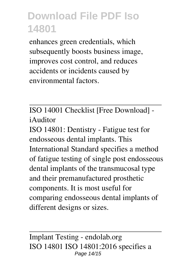enhances green credentials, which subsequently boosts business image, improves cost control, and reduces accidents or incidents caused by environmental factors.

ISO 14001 Checklist [Free Download] iAuditor

ISO 14801: Dentistry - Fatigue test for endosseous dental implants. This International Standard specifies a method of fatigue testing of single post endosseous dental implants of the transmucosal type and their premanufactured prosthetic components. It is most useful for comparing endosseous dental implants of different designs or sizes.

Implant Testing - endolab.org ISO 14801 ISO 14801:2016 specifies a Page 14/15